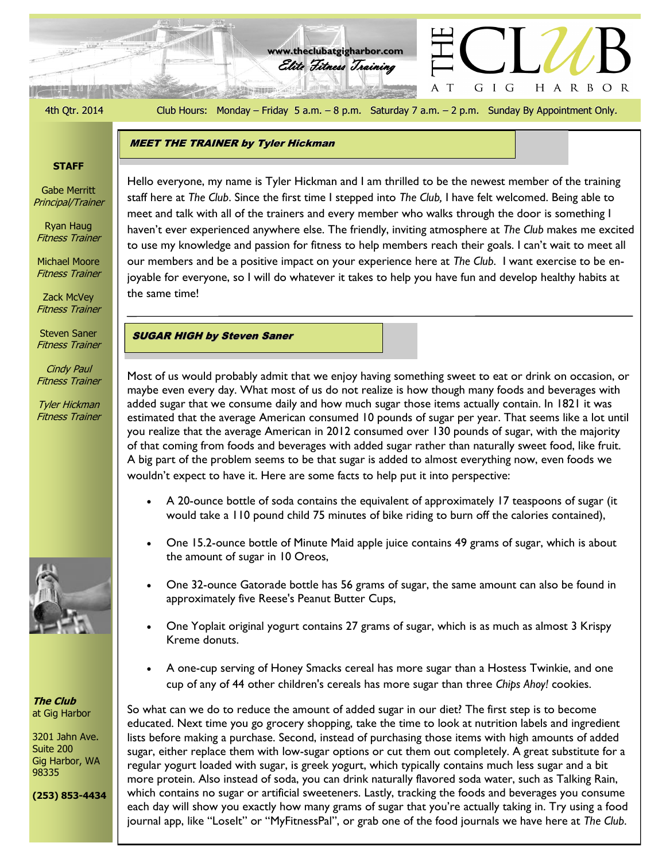الوقة كالمنتزلين

4th Qtr. 2014 Club Hours: Monday – Friday 5 a.m. – 8 p.m. Saturday 7 a.m. – 2 p.m. Sunday By Appointment Only.

G I G

A T

HARBOR

Elite Fitness Training **www.theclubatgigharbor.com**

#### **STAFF**

Gabe Merritt Principal/Trainer

Ryan Haug Fitness Trainer

Michael Moore Fitness Trainer

Zack McVey Fitness Trainer

Steven Saner Fitness Trainer

Cindy Paul Fitness Trainer

Tyler Hickman Fitness Trainer



**The Club** at Gig Harbor

3201 Jahn Ave. Suite 200 Gig Harbor, WA 98335

**(253) 853-4434**

meet and talk with all of the trainers and every member who walks through the door is something I Hello everyone, my name is Tyler Hickman and I am thrilled to be the newest member of the training staff here at *The Club*. Since the first time I stepped into *The Club,* I have felt welcomed. Being able to haven't ever experienced anywhere else. The friendly, inviting atmosphere at *The Club* makes me excited to use my knowledge and passion for fitness to help members reach their goals. I can't wait to meet all our members and be a positive impact on your experience here at *The Club*. I want exercise to be enjoyable for everyone, so I will do whatever it takes to help you have fun and develop healthy habits at the same time!

SUGAR HIGH by Steven Saner

MEET THE TRAINER by Tyler Hickman

Most of us would probably admit that we enjoy having something sweet to eat or drink on occasion, or maybe even every day. What most of us do not realize is how though many foods and beverages with added sugar that we consume daily and how much sugar those items actually contain. In 1821 it was estimated that the average American consumed 10 pounds of sugar per year. That seems like a lot until you realize that the average American in 2012 consumed over 130 pounds of sugar, with the majority of that coming from foods and beverages with added sugar rather than naturally sweet food, like fruit. A big part of the problem seems to be that sugar is added to almost everything now, even foods we wouldn't expect to have it. Here are some facts to help put it into perspective:

- A 20-ounce bottle of soda contains the equivalent of approximately 17 teaspoons of sugar (it would take a 110 pound child 75 minutes of bike riding to burn off the calories contained),
- One 15.2-ounce bottle of Minute Maid apple juice contains 49 grams of sugar, which is about the amount of sugar in 10 Oreos,
- One 32-ounce Gatorade bottle has 56 grams of sugar, the same amount can also be found in approximately five Reese's Peanut Butter Cups,
- One Yoplait original yogurt contains 27 grams of sugar, which is as much as almost 3 Krispy Kreme donuts.
- A one-cup serving of Honey Smacks cereal has more sugar than a Hostess Twinkie, and one cup of any of 44 other children's cereals has more sugar than three *Chips Ahoy!* cookies.

So what can we do to reduce the amount of added sugar in our diet? The first step is to become educated. Next time you go grocery shopping, take the time to look at nutrition labels and ingredient lists before making a purchase. Second, instead of purchasing those items with high amounts of added sugar, either replace them with low-sugar options or cut them out completely. A great substitute for a regular yogurt loaded with sugar, is greek yogurt, which typically contains much less sugar and a bit more protein. Also instead of soda, you can drink naturally flavored soda water, such as Talking Rain, which contains no sugar or artificial sweeteners. Lastly, tracking the foods and beverages you consume each day will show you exactly how many grams of sugar that you're actually taking in. Try using a food journal app, like "Loselt" or "MyFitnessPal", or grab one of the food journals we have here at *The Club*.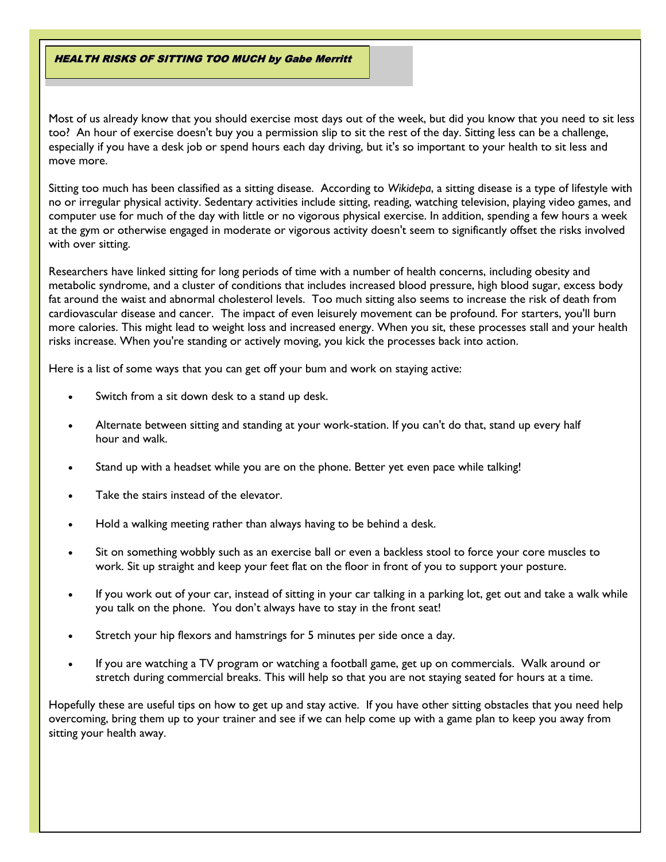HEALTH RISKS OF SITTING TOO MUCH by Gabe Merritt

Most of us already know that you should exercise most days out of the week, but did you know that you need to sit less too? An hour of exercise doesn't buy you a permission slip to sit the rest of the day. Sitting less can be a challenge, especially if you have a desk job or spend hours each day driving, but it's so important to your health to sit less and move more.

Sitting too much has been classified as a sitting disease. According to *Wikidepa*, a sitting disease is a type of [lifestyle](http://en.wikipedia.org/wiki/Lifestyle_%28sociology%29) with no or irregular [physical activity.](http://en.wikipedia.org/wiki/Physical_exercise) Sedentary activities include [sitting,](http://en.wikipedia.org/wiki/Sitting) [reading,](http://en.wikipedia.org/wiki/Reading_%28process%29) watching [television,](http://en.wikipedia.org/wiki/Television) playing [video games,](http://en.wikipedia.org/wiki/Video_game) and [computer use](http://en.wikipedia.org/wiki/Computer_use) for much of the day with little or no vigorous physical exercise. In addition, spending a few hours a week at the gym or otherwise engaged in moderate or vigorous activity doesn't seem to significantly offset the risks involved with over sitting.

Researchers have linked sitting for long periods of time with a number of health concerns, including obesity and metabolic syndrome, and a cluster of conditions that includes increased blood pressure, high blood sugar, excess body fat around the waist and abnormal cholesterol levels. Too much sitting also seems to increase the risk of death from cardiovascular disease and cancer. The impact of even leisurely movement can be profound. For starters, you'll burn more calories. This might lead to weight loss and increased energy. When you sit, these processes stall and your health risks increase. When you're standing or actively moving, you kick the processes back into action.

Here is a list of some ways that you can get off your bum and work on staying active:

- Switch from a sit down desk to a stand up desk.
- Alternate between sitting and standing at your work-station. If you can't do that, stand up every half hour and walk.
- Stand up with a headset while you are on the phone. Better yet even pace while talking!
- Take the stairs instead of the elevator.
- Hold a walking meeting rather than always having to be behind a desk.
- Sit on something wobbly such as an exercise ball or even a backless stool to force your core muscles to work. Sit up straight and keep your feet flat on the floor in front of you to support your posture.
- If you work out of your car, instead of sitting in your car talking in a parking lot, get out and take a walk while you talk on the phone. You don't always have to stay in the front seat!
- Stretch your hip flexors and hamstrings for 5 minutes per side once a day.
- If you are watching a TV program or watching a football game, get up on commercials. Walk around or stretch during commercial breaks. This will help so that you are not staying seated for hours at a time.

Hopefully these are useful tips on how to get up and stay active. If you have other sitting obstacles that you need help overcoming, bring them up to your trainer and see if we can help come up with a game plan to keep you away from sitting your health away.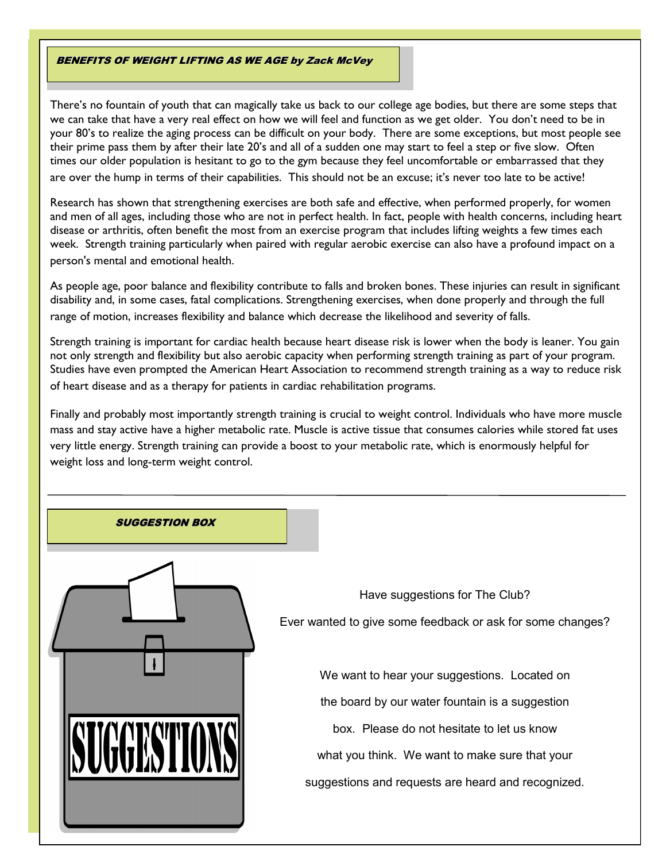#### BENEFITS OF WEIGHT LIFTING AS WE AGE by Zack McVey

There's no fountain of youth that can magically take us back to our college age bodies, but there are some steps that we can take that have a very real effect on how we will feel and function as we get older. You don't need to be in your 80's to realize the aging process can be difficult on your body. There are some exceptions, but most people see their prime pass them by after their late 20's and all of a sudden one may start to feel a step or five slow. Often times our older population is hesitant to go to the gym because they feel uncomfortable or embarrassed that they are over the hump in terms of their capabilities. This should not be an excuse; it's never too late to be active!

Research has shown that strengthening exercises are both safe and effective, when performed properly, for women and men of all ages, including those who are not in perfect health. In fact, people with health concerns, including heart disease or arthritis, often benefit the most from an exercise program that includes lifting weights a few times each week. Strength training particularly when paired with regular aerobic exercise can also have a profound impact on a person's mental and emotional health.

As people age, poor balance and flexibility contribute to falls and broken bones. These injuries can result in significant disability and, in some cases, fatal complications. Strengthening exercises, when done properly and through the full range of motion, increases flexibility and balance which decrease the likelihood and severity of falls.

Strength training is important for cardiac health because heart disease risk is lower when the body is leaner. You gain not only strength and flexibility but also aerobic capacity when performing strength training as part of your program. Studies have even prompted the American Heart Association to recommend strength training as a way to reduce risk of heart disease and as a therapy for patients in cardiac rehabilitation programs.

Finally and probably most importantly strength training is crucial to weight control. Individuals who have more muscle mass and stay active have a higher metabolic rate. Muscle is active tissue that consumes calories while stored fat uses very little energy. Strength training can provide a boost to your metabolic rate, which is enormously helpful for weight loss and long-term weight control.

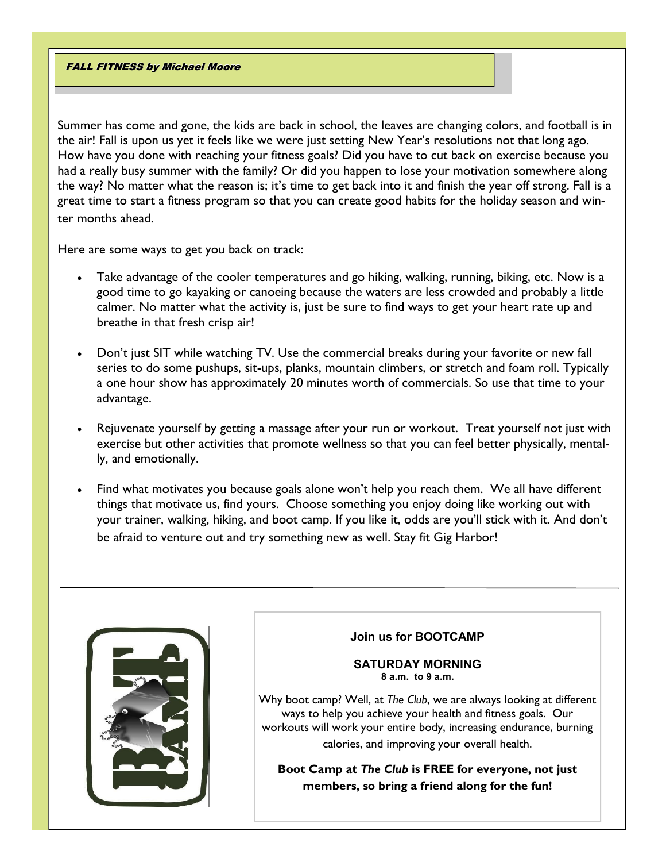### FALL FITNESS by Michael Moore

Summer has come and gone, the kids are back in school, the leaves are changing colors, and football is in the air! Fall is upon us yet it feels like we were just setting New Year's resolutions not that long ago. How have you done with reaching your fitness goals? Did you have to cut back on exercise because you had a really busy summer with the family? Or did you happen to lose your motivation somewhere along the way? No matter what the reason is; it's time to get back into it and finish the year off strong. Fall is a great time to start a fitness program so that you can create good habits for the holiday season and winter months ahead.

Here are some ways to get you back on track:

- Take advantage of the cooler temperatures and go hiking, walking, running, biking, etc. Now is a good time to go kayaking or canoeing because the waters are less crowded and probably a little calmer. No matter what the activity is, just be sure to find ways to get your heart rate up and breathe in that fresh crisp air!
- Don't just SIT while watching TV. Use the commercial breaks during your favorite or new fall series to do some pushups, sit-ups, planks, mountain climbers, or stretch and foam roll. Typically a one hour show has approximately 20 minutes worth of commercials. So use that time to your advantage.
- Rejuvenate yourself by getting a massage after your run or workout. Treat yourself not just with exercise but other activities that promote wellness so that you can feel better physically, mentally, and emotionally.
- Find what motivates you because goals alone won't help you reach them. We all have different things that motivate us, find yours. Choose something you enjoy doing like working out with your trainer, walking, hiking, and boot camp. If you like it, odds are you'll stick with it. And don't be afraid to venture out and try something new as well. Stay fit Gig Harbor!



### **Join us for BOOTCAMP**

#### **SATURDAY MORNING 8 a.m. to 9 a.m.**

Why boot camp? Well, at *The Club*, we are always looking at different ways to help you achieve your health and fitness goals. Our workouts will work your entire body, increasing endurance, burning calories, and improving your overall health.

**Boot Camp at** *The Club* **is FREE for everyone, not just members, so bring a friend along for the fun!**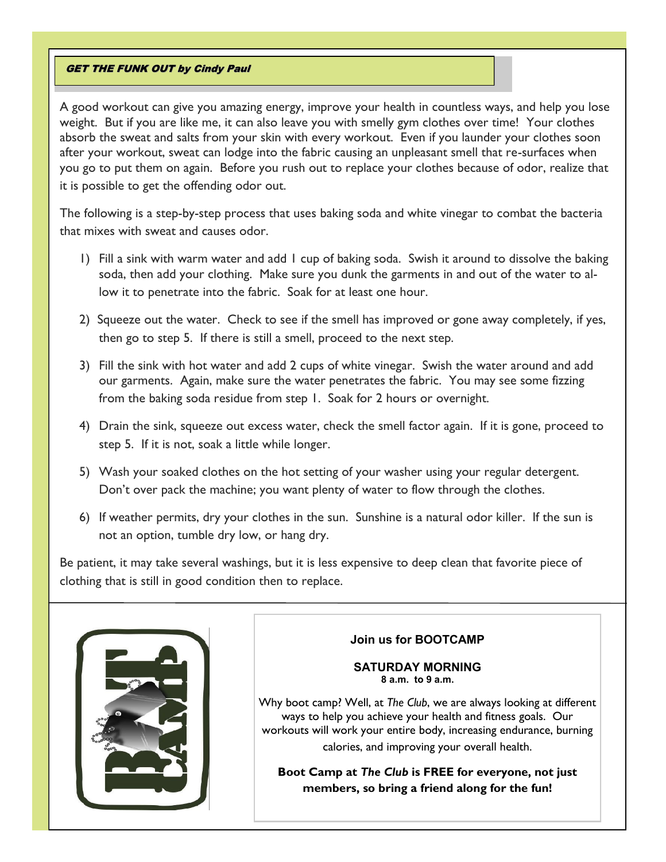### **GET THE FUNK OUT by Cindy Paul**

A good workout can give you amazing energy, improve your health in countless ways, and help you lose weight. But if you are like me, it can also leave you with smelly gym clothes over time! Your clothes absorb the sweat and salts from your skin with every workout. Even if you launder your clothes soon after your workout, sweat can lodge into the fabric causing an unpleasant smell that re-surfaces when you go to put them on again. Before you rush out to replace your clothes because of odor, realize that it is possible to get the offending odor out.

The following is a step-by-step process that uses baking soda and white vinegar to combat the bacteria that mixes with sweat and causes odor.

- 1) Fill a sink with warm water and add 1 cup of baking soda. Swish it around to dissolve the baking soda, then add your clothing. Make sure you dunk the garments in and out of the water to allow it to penetrate into the fabric. Soak for at least one hour.
- 2) Squeeze out the water. Check to see if the smell has improved or gone away completely, if yes, then go to step 5. If there is still a smell, proceed to the next step.
- 3) Fill the sink with hot water and add 2 cups of white vinegar. Swish the water around and add our garments. Again, make sure the water penetrates the fabric. You may see some fizzing from the baking soda residue from step 1. Soak for 2 hours or overnight.
- 4) Drain the sink, squeeze out excess water, check the smell factor again. If it is gone, proceed to step 5. If it is not, soak a little while longer.
- 5) Wash your soaked clothes on the hot setting of your washer using your regular detergent. Don't over pack the machine; you want plenty of water to flow through the clothes.
- 6) If weather permits, dry your clothes in the sun. Sunshine is a natural odor killer. If the sun is not an option, tumble dry low, or hang dry.

Be patient, it may take several washings, but it is less expensive to deep clean that favorite piece of clothing that is still in good condition then to replace.



# **Join us for BOOTCAMP**

#### **SATURDAY MORNING 8 a.m. to 9 a.m.**

Why boot camp? Well, at *The Club*, we are always looking at different ways to help you achieve your health and fitness goals. Our workouts will work your entire body, increasing endurance, burning calories, and improving your overall health.

**Boot Camp at** *The Club* **is FREE for everyone, not just members, so bring a friend along for the fun!**